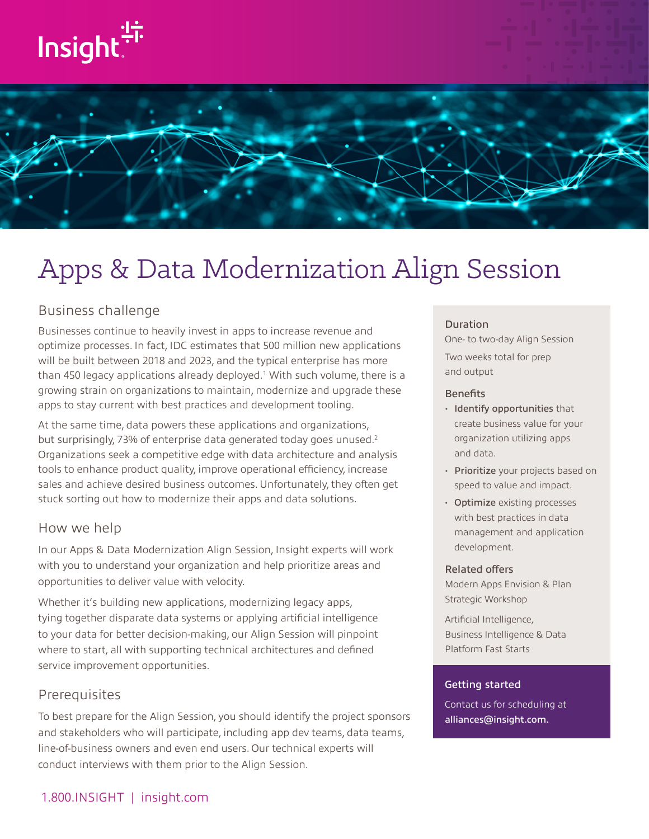



# Apps & Data Modernization Align Session

# Business challenge

Businesses continue to heavily invest in apps to increase revenue and optimize processes. In fact, IDC estimates that 500 million new applications will be built between 2018 and 2023, and the typical enterprise has more than 450 legacy applications already deployed.<sup>1</sup> With such volume, there is a growing strain on organizations to maintain, modernize and upgrade these apps to stay current with best practices and development tooling.

At the same time, data powers these applications and organizations, but surprisingly, 73% of enterprise data generated today goes unused.<sup>2</sup> Organizations seek a competitive edge with data architecture and analysis tools to enhance product quality, improve operational efficiency, increase sales and achieve desired business outcomes. Unfortunately, they often get stuck sorting out how to modernize their apps and data solutions.

## How we help

In our Apps & Data Modernization Align Session, Insight experts will work with you to understand your organization and help prioritize areas and opportunities to deliver value with velocity.

Whether it's building new applications, modernizing legacy apps, tying together disparate data systems or applying artificial intelligence to your data for better decision-making, our Align Session will pinpoint where to start, all with supporting technical architectures and defined service improvement opportunities.

## Prerequisites

To best prepare for the Align Session, you should identify the project sponsors and stakeholders who will participate, including app dev teams, data teams, line-of-business owners and even end users. Our technical experts will conduct interviews with them prior to the Align Session.

#### Duration

One- to two-day Align Session Two weeks total for prep and output

#### **Benefits**

- Identify opportunities that create business value for your organization utilizing apps and data.
- Prioritize your projects based on speed to value and impact.
- Optimize existing processes with best practices in data management and application development.

#### Related offers

Modern Apps Envision & Plan Strategic Workshop

Artificial Intelligence, Business Intelligence & Data Platform Fast Starts

#### Getting started

Contact us for scheduling at [alliances@insight.com.](mailto:alliances@insight.com)